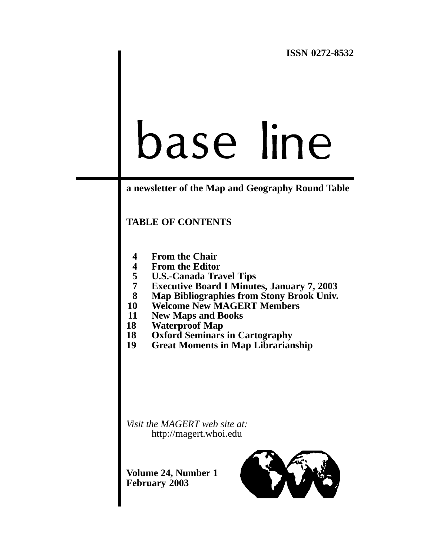# base line

# **a newsletter of the Map and Geography Round Table**

# **TABLE OF CONTENTS**

- **4 [From the Chair](#page-3-0)**
- 
- **4 [From the Editor](#page-3-0) 5 [U.S.-Canada Travel Tips](#page-4-0)**
- **7 [Executive Board I Minutes, January 7, 2003](#page-6-0)**
- **8 [Map Bibliographies from Stony Brook Univ.](#page-7-0)**
- **10 [Welcome New MAGERT Members](#page-9-0)**
- **11 [New Maps and Books](#page-10-0)**
- **18 [Waterproof Map](#page-17-0)**
- **18 [Oxford Seminars in Cartography](#page-17-0)**
- **19 [Great Moments in Map Librarianship](#page-18-0)**

*Visit the MAGERT web site at:*  <http://magert.whoi.edu>

**Volume 24, Number 1 February 2003** 

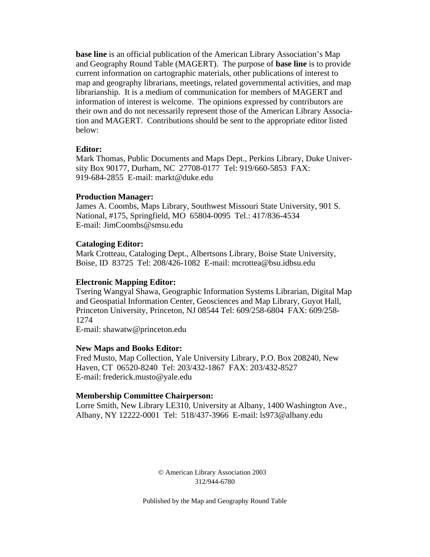**base line** is an official publication of the American Library Association's Map and Geography Round Table (MAGERT). The purpose of **base line** is to provide current information on cartographic materials, other publications of interest to map and geography librarians, meetings, related governmental activities, and map librarianship. It is a medium of communication for members of MAGERT and information of interest is welcome. The opinions expressed by contributors are their own and do not necessarily represent those of the American Library Association and MAGERT. Contributions should be sent to the appropriate editor listed below:

## **Editor:**

Mark Thomas, Public Documents and Maps Dept., Perkins Library, Duke University Box 90177, Durham, NC 27708-0177 Tel: 919/660-5853 FAX: 919-684-2855 E-mail: markt@duke.edu

## **Production Manager:**

James A. Coombs, Maps Library, Southwest Missouri State University, 901 S. National, #175, Springfield, MO 65804-0095 Tel.: 417/836-4534 E-mail: JimCoombs@smsu.edu

## **Cataloging Editor:**

Mark Crotteau, Cataloging Dept., Albertsons Library, Boise State University, Boise, ID 83725 Tel: 208/426-1082 E-mail: mcrottea@bsu.idbsu.edu

## **Electronic Mapping Editor:**

Tsering Wangyal Shawa, Geographic Information Systems Librarian, Digital Map and Geospatial Information Center, Geosciences and Map Library, Guyot Hall, Princeton University, Princeton, NJ 08544 Tel: 609/258-6804 FAX: 609/258 1274

E-mail: shawatw@princeton.edu

### **New Maps and Books Editor:**

Fred Musto, Map Collection, Yale University Library, P.O. Box 208240, New Haven, CT 06520-8240 Tel: 203/432-1867 FAX: 203/432-8527 E-mail: frederick.musto@yale.edu

## **Membership Committee Chairperson:**

Lorre Smith, New Library LE310, University at Albany, 1400 Washington Ave., Albany, NY 12222-0001 Tel: 518/437-3966 E-mail: ls973@albany.edu

> © American Library Association 2003 312/944-6780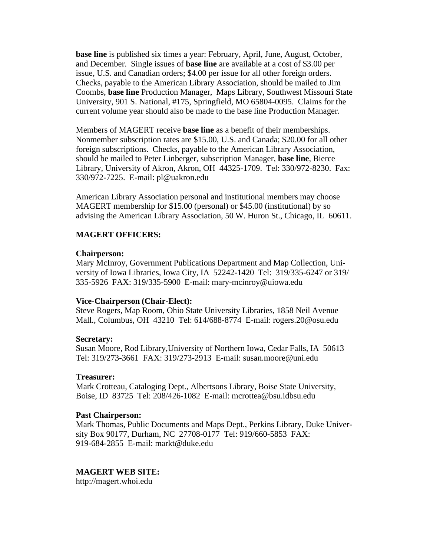**base line** is published six times a year: February, April, June, August, October, and December. Single issues of **base line** are available at a cost of \$3.00 per issue, U.S. and Canadian orders; \$4.00 per issue for all other foreign orders. Checks, payable to the American Library Association, should be mailed to Jim Coombs, **base line** Production Manager, Maps Library, Southwest Missouri State University, 901 S. National, #175, Springfield, MO 65804-0095. Claims for the current volume year should also be made to the base line Production Manager.

Members of MAGERT receive **base line** as a benefit of their memberships. Nonmember subscription rates are \$15.00, U.S. and Canada; \$20.00 for all other foreign subscriptions. Checks, payable to the American Library Association, should be mailed to Peter Linberger, subscription Manager, **base line**, Bierce Library, University of Akron, Akron, OH 44325-1709. Tel: 330/972-8230. Fax: 330/972-7225. E-mail: pl@uakron.edu

American Library Association personal and institutional members may choose MAGERT membership for \$15.00 (personal) or \$45.00 (institutional) by so advising the American Library Association, 50 W. Huron St., Chicago, IL 60611.

## **MAGERT OFFICERS:**

### **Chairperson:**

Mary McInroy, Government Publications Department and Map Collection, University of Iowa Libraries, Iowa City, IA 52242-1420 Tel: 319/335-6247 or 319/ 335-5926 FAX: 319/335-5900 E-mail: mary-mcinroy@uiowa.edu

### **Vice-Chairperson (Chair-Elect):**

Steve Rogers, Map Room, Ohio State University Libraries, 1858 Neil Avenue Mall., Columbus, OH 43210 Tel: 614/688-8774 E-mail: rogers.20@osu.edu

### **Secretary:**

Susan Moore, Rod Library,University of Northern Iowa, Cedar Falls, IA 50613 Tel: 319/273-3661 FAX: 319/273-2913 E-mail: susan.moore@uni.edu

### **Treasurer:**

Mark Crotteau, Cataloging Dept., Albertsons Library, Boise State University, Boise, ID 83725 Tel: 208/426-1082 E-mail: mcrottea@bsu.idbsu.edu

#### **Past Chairperson:**

Mark Thomas, Public Documents and Maps Dept., Perkins Library, Duke University Box 90177, Durham, NC 27708-0177 Tel: 919/660-5853 FAX: 919-684-2855 E-mail: markt@duke.edu

## **MAGERT WEB SITE:**

<http://magert.whoi.edu>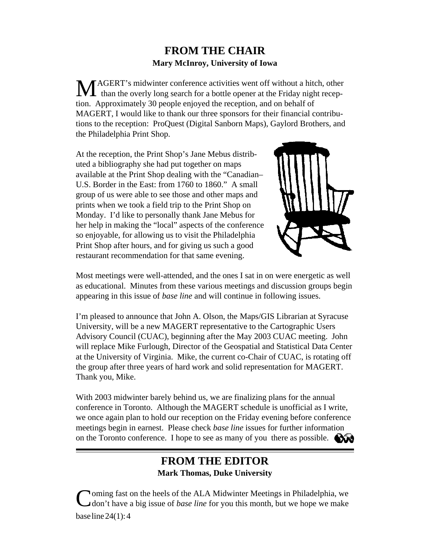# **FROM THE CHAIR Mary McInroy, University of Iowa**

<span id="page-3-0"></span>MAGERT's midwinter conference activities went off without a hitch, other than the overly long search for a bottle opener at the Friday night reception. Approximately 30 people enjoyed the reception, and on behalf of MAGERT, I would like to thank our three sponsors for their financial contributions to the reception: ProQuest (Digital Sanborn Maps), Gaylord Brothers, and the Philadelphia Print Shop.

At the reception, the Print Shop's Jane Mebus distributed a bibliography she had put together on maps available at the Print Shop dealing with the "Canadian– U.S. Border in the East: from 1760 to 1860." A small group of us were able to see those and other maps and prints when we took a field trip to the Print Shop on Monday. I'd like to personally thank Jane Mebus for her help in making the "local" aspects of the conference so enjoyable, for allowing us to visit the Philadelphia Print Shop after hours, and for giving us such a good restaurant recommendation for that same evening.



Most meetings were well-attended, and the ones I sat in on were energetic as well as educational. Minutes from these various meetings and discussion groups begin appearing in this issue of *base line* and will continue in following issues.

I'm pleased to announce that John A. Olson, the Maps/GIS Librarian at Syracuse University, will be a new MAGERT representative to the Cartographic Users Advisory Council (CUAC), beginning after the May 2003 CUAC meeting. John will replace Mike Furlough, Director of the Geospatial and Statistical Data Center at the University of Virginia. Mike, the current co-Chair of CUAC, is rotating off the group after three years of hard work and solid representation for MAGERT. Thank you, Mike.

With 2003 midwinter barely behind us, we are finalizing plans for the annual conference in Toronto. Although the MAGERT schedule is unofficial as I write, we once again plan to hold our reception on the Friday evening before conference meetings begin in earnest. Please check *base line* issues for further information on the Toronto conference. I hope to see as many of you there as possible.

# **FROM THE EDITOR Mark Thomas, Duke University**

Coming fast on the heels of the ALA Midwinter Meetings in Philadelphia, we don't have a big issue of *base line* for you this month, but we hope we make base line 24(1): 4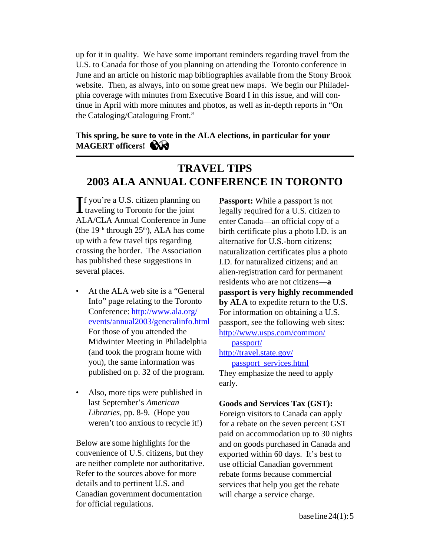<span id="page-4-0"></span>up for it in quality. We have some important reminders regarding travel from the U.S. to Canada for those of you planning on attending the Toronto conference in June and an article on historic map bibliographies available from the Stony Brook website. Then, as always, info on some great new maps. We begin our Philadelphia coverage with minutes from Executive Board I in this issue, and will continue in April with more minutes and photos, as well as in-depth reports in "On the Cataloging/Cataloguing Front."

# **This spring, be sure to vote in the ALA elections, in particular for your MAGERT officers!**

# **TRAVEL TIPS 2003 ALA ANNUAL CONFERENCE IN TORONTO**

If you're a U.S. citizen planning on **Passport:** While a passport is not<br>traveling to Toronto for the joint legally required for a U.S. citizen to f you're a U.S. citizen planning on **Passport:** While a passport is not ALA/CLA Annual Conference in June enter Canada—an official copy of a<br>(the  $19<sup>t h</sup>$  through  $25<sup>th</sup>$ ), ALA has come birth certificate plus a photo I.D. is a up with a few travel tips regarding alternative for U.S.-born citizens; crossing the border. The Association naturalization certificates plus a photo has published these suggestions in I.D. for naturalized citizens; and an several places. alien-registration card for permanent

- For those of you attended the [http://www.usps.com/common/](http://www.usps.com/common/passport) Midwinter Meeting in Philadelphia passport/ (and took the program home with http://travel.state.gov/ you), the same information was passport services.html published on p. 32 of the program. They emphasize the need to apply
- Also, more tips were published in last September's *American* **Goods and Services Tax (GST):**

are neither complete nor authoritative. use official Canadian government Refer to the sources above for more<br>details and to pertinent U.S. and<br>services that help you get the reba Canadian government documentation will charge a service charge. for official regulations.

birth certificate plus a photo I.D. is an residents who are not citizens—**a**  At the ALA web site is a "General **passport is very highly recommended** Info" page relating to the Toronto **by ALA** to expedite return to the U.S. [Conference: http://www.ala.org/](http://www.ala.org/events/annual2003/generalinfo.html) For information on obtaining a U.S. events/annual2003/generalinfo.html passport, see the following web sites: early.

*Libraries*, pp. 8-9. (Hope you Foreign visitors to Canada can apply weren't too anxious to recycle it!) for a rebate on the seven percent GST paid on accommodation up to 30 nights Below are some highlights for the and on goods purchased in Canada and convenience of U.S. citizens, but they exported within 60 days. It's best to exported within 60 days. It's best to services that help you get the rebate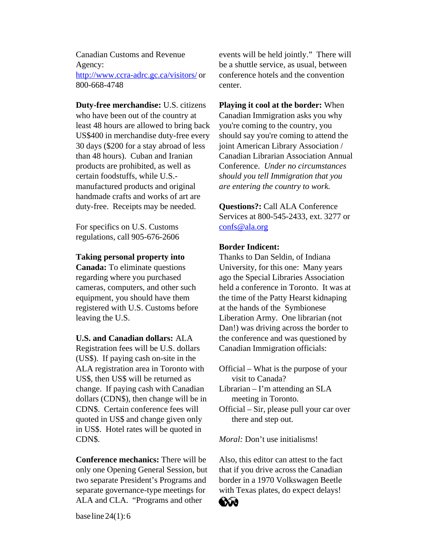Canadian Customs and Revenue Agency: <http://www.ccra-adrc.gc.ca/visitors/>or 800-668-4748

**Duty-free merchandise:** U.S. citizens who have been out of the country at least 48 hours are allowed to bring back US\$400 in merchandise duty-free every 30 days (\$200 for a stay abroad of less than 48 hours). Cuban and Iranian products are prohibited, as well as certain foodstuffs, while U.S. manufactured products and original handmade crafts and works of art are duty-free. Receipts may be needed.

For specifics on U.S. Customs regulations, call 905-676-2606

#### **Taking personal property into**

**Canada:** To eliminate questions regarding where you purchased cameras, computers, and other such equipment, you should have them registered with U.S. Customs before leaving the U.S.

**U.S. and Canadian dollars:** ALA Registration fees will be U.S. dollars (US\$). If paying cash on-site in the ALA registration area in Toronto with US\$, then US\$ will be returned as change. If paying cash with Canadian dollars (CDN\$), then change will be in CDN\$. Certain conference fees will quoted in US\$ and change given only in US\$. Hotel rates will be quoted in CDN\$.

**Conference mechanics:** There will be only one Opening General Session, but two separate President's Programs and separate governance-type meetings for ALA and CLA. " Programs and other

events will be held jointly." There will be a shuttle service, as usual, between conference hotels and the convention center.

**Playing it cool at the border:** When Canadian Immigration asks you why you're coming to the country, you should say you're coming to attend the joint American Library Association / Canadian Librarian Association Annual Conference. *Under no circumstances should you tell Immigration that you are entering the country to work.* 

**Questions?:** Call ALA Conference Services at 800-545-2433, ext. 3277 or confs@ala.org

## **Border Indicent:**

Thanks to Dan Seldin, of Indiana University, for this one: Many years ago the Special Libraries Association held a conference in Toronto. It was at the time of the Patty Hearst kidnaping at the hands of the Symbionese Liberation Army. One librarian (not Dan!) was driving across the border to the conference and was questioned by Canadian Immigration officials:

Official – What is the purpose of your visit to Canada?

Librarian – I'm attending an SLA meeting in Toronto.

Official – Sir, please pull your car over there and step out.

*Moral:* Don't use initialisms!

Also, this editor can attest to the fact that if you drive across the Canadian border in a 1970 Volkswagen Beetle with Texas plates, do expect delays!



base line 24(1): 6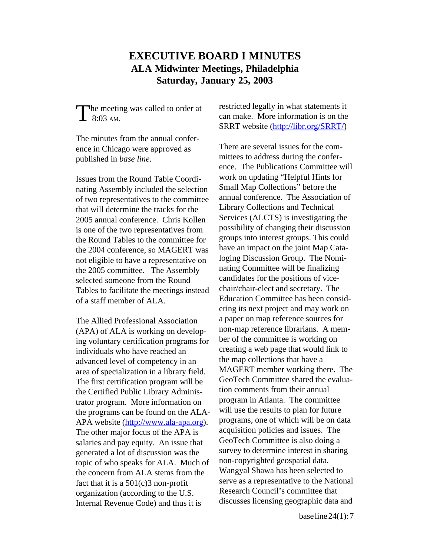# **EXECUTIVE BOARD I MINUTES ALA Midwinter Meetings, Philadelphia Saturday, January 25, 2003**

The minutes from the annual confer-

nating Assembly included the selection Small Map Collections<sup>7</sup> before the<br>of two representatives to the committee annual conference. The Association of of two representatives to the committee annual conference. The Association<br>that will determine the tracks for the Library Collections and Technical that will determine the tracks for the Library Collections and Technical<br>2005 annual conference Chris Kollen Services (ALCTS) is investigating the 2005 annual conference. Chris Kollen is one of the two representatives from possibility of changing their discussion the Round Tables to the committee for groups into interest groups. This could<br>the 2004 conference so MAGERT was have an impact on the joint Map Catathe  $2004$  conference, so MAGERT was not eligible to have a representative on the 2005 committee. The Assembly selected someone from the Round<br>Tables to facilitate the meetings instead chair/chair-elect and secretary. The Tables to facilitate the meetings instead of a staff member of ALA. Education Committee has been consid-

(APA) of ALA is working on develop-<br>ing voluntary certification programs for ber of the committee is working on ing voluntary certification programs for individuals who have reached an creating a web page that would link to<br>advanced level of competency in an the map collections that have a The first certification program will be GeoTech Committee shared the e<br>the Certified Public Library Administerion comments from their annual the Certified Public Library Adminis-<br>trator program More information on program in Atlanta. The committee trator program. More information on program in Atlanta. The committee<br>the programs can be found on the ALA- will use the results to plan for future the programs can be found on the ALA-<br>APA website  $\frac{h_{\text{th}}}{h_{\text{th}}}}$  (http://www.ala-ana.org) programs, one of which will be on data APA website  $(\frac{http://www.ala-apa.org}{http://www.ala-apa.org})$ . programs, one of which will be on d<br>The other major focus of the APA is acquisition policies and issues. The The other major focus of the APA is acquisition policies and issues. The salaries and nav equity An issue that GeoTech Committee is also doing a salaries and pay equity. An issue that GeoTech Committee is also doing a<br>generated a lot of discussion was the survey to determine interest in sharing generated a lot of discussion was the survey to determine interest in sh<br>tonic of who speaks for ALA Much of non-copyrighted geospatial data. topic of who speaks for ALA. Much of non-copyrighted geospatial data.<br>the concern from ALA stems from the Wangyal Shawa has been selected to the concern from ALA stems from the organization (according to the U.S. Internal Revenue Code) and thus it is discusses licensing geographic data and

<span id="page-6-0"></span>The meeting was called to order at restricted legally in what statements it<br>
can make. More information is on the<br>
SBBT website (http://libr.org/SBBT) SRRT website [\(http://libr.org/SRRT/\)](http://libr.org/SRRT/) 

ence in Chicago were approved as There are several issues for the compublished in *base line*. mittees to address during the conference. The Publications Committee will Issues from the Round Table Coordi-<br>
mating Assembly included the selection<br>
Small Map Collections'' before the ering its next project and may work on The Allied Professional Association a paper on map reference sources for<br>(APA) of ALA is working on develop-<br>non-map reference librarians. A memadvanced level of competency in an the map collections that have a<br>area of specialization in a library field MAGERT member working there. The area of specialization in a library field. MAGERT member working there. The<br>The first certification program will be GeoTech Committee shared the evaluafact that it is a  $501(c)3$  non-profit<br>organization (according to the U.S. Research Council's committee that loging Discussion Group. The Nominating Committee will be finalizing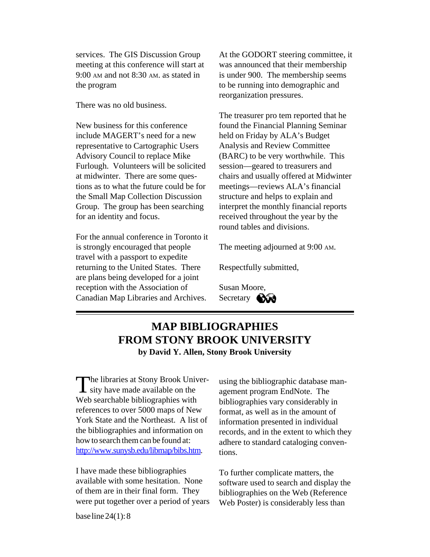<span id="page-7-0"></span>services. The GIS Discussion Group meeting at this conference will start at 9:00 AM and not 8:30 AM. as stated in the program

There was no old business.

New business for this conference include MAGERT's need for a new representative to Cartographic Users Advisory Council to replace Mike Furlough. Volunteers will be solicited at midwinter. There are some questions as to what the future could be for the Small Map Collection Discussion Group. The group has been searching for an identity and focus.

For the annual conference in Toronto it is strongly encouraged that people travel with a passport to expedite returning to the United States. There are plans being developed for a joint reception with the Association of Canadian Map Libraries and Archives.

At the GODORT steering committee, it was announced that their membership is under 900. The membership seems to be running into demographic and reorganization pressures.

The treasurer pro tem reported that he found the Financial Planning Seminar held on Friday by ALA's Budget Analysis and Review Committee (BARC) to be very worthwhile. This session—geared to treasurers and chairs and usually offered at Midwinter meetings—reviews ALA's financial structure and helps to explain and interpret the monthly financial reports received throughout the year by the round tables and divisions.

The meeting adjourned at 9:00 AM.

Respectfully submitted,

Susan Moore, Secretary **Core** 

# **MAP BIBLIOGRAPHIES FROM STONY BROOK UNIVERSITY by David Y. Allen, Stony Brook University**

The libraries at Stony Brook Univer-<br>sity have made available on the agement program EndNote. The<br>Web searchable bibliographies with bibliographies vary considerably in Web searchable bibliographies with bibliographies vary considerably in<br>references to over 5000 maps of New format as well as in the amount of references to over 5000 maps of New format, as well as in the amount of York State and the Northeast. A list of information presented in individual York State and the Northeast. A list of information presented in individual the bibliographies and information on ecords, and in the extent to which t [http://www.sunysb.edu/libmap/bibs.htm.](http://www.sunysb.edu/libmap/bibs.htm) tions.

I have made these bibliographies To further complicate matters, the available with some hesitation. None software used to search and display available with some hesitation. None software used to search and display the of them are in their final form. They bibliographies on the Web (Reference of them are in their final form. They bibliographies on the Web (Reference were put together over a period of years Web Poster) is considerably less than

agement program EndNote. The the bibliographies and information on records, and in the extent to which they<br>how to search them can be found at:<br>adhere to standard cataloging convenadhere to standard cataloging conven-

Web Poster) is considerably less than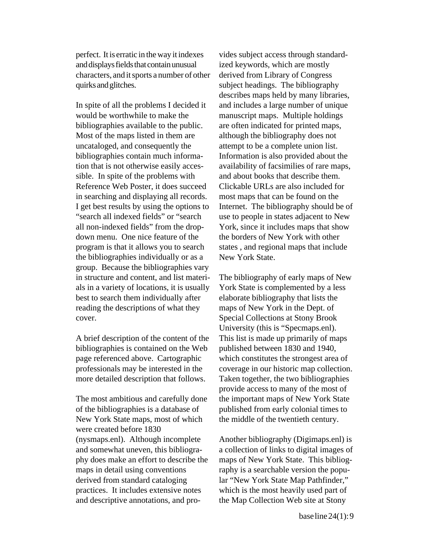perfect. It is erratic in the way it indexes and displays fields that contain unusual characters, and it sports a number of other quirks and glitches.

In spite of all the problems I decided it would be worthwhile to make the bibliographies available to the public. Most of the maps listed in them are uncataloged, and consequently the bibliographies contain much information that is not otherwise easily accessible. In spite of the problems with Reference Web Poster, it does succeed in searching and displaying all records. I get best results by using the options to "search all indexed fields" or "search all non-indexed fields" from the dropdown menu. One nice feature of the program is that it allows you to search the bibliographies individually or as a group. Because the bibliographies vary in structure and content, and list materials in a variety of locations, it is usually best to search them individually after reading the descriptions of what they cover.

A brief description of the content of the bibliographies is contained on the Web page referenced above. Cartographic professionals may be interested in the more detailed description that follows.

The most ambitious and carefully done of the bibliographies is a database of New York State maps, most of which were created before 1830 (nysmaps.enl). Although incomplete and somewhat uneven, this bibliography does make an effort to describe the maps in detail using conventions derived from standard cataloging practices. It includes extensive notes and descriptive annotations, and pro-

vides subject access through standardized keywords, which are mostly derived from Library of Congress subject headings. The bibliography describes maps held by many libraries, and includes a large number of unique manuscript maps. Multiple holdings are often indicated for printed maps, although the bibliography does not attempt to be a complete union list. Information is also provided about the availability of facsimilies of rare maps, and about books that describe them. Clickable URLs are also included for most maps that can be found on the Internet. The bibliography should be of use to people in states adjacent to New York, since it includes maps that show the borders of New York with other states , and regional maps that include New York State.

The bibliography of early maps of New York State is complemented by a less elaborate bibliography that lists the maps of New York in the Dept. of Special Collections at Stony Brook University (this is "Specmaps.enl). This list is made up primarily of maps published between 1830 and 1940, which constitutes the strongest area of coverage in our historic map collection. Taken together, the two bibliographies provide access to many of the most of the important maps of New York State published from early colonial times to the middle of the twentieth century.

Another bibliography (Digimaps.enl) is a collection of links to digital images of maps of New York State. This bibliography is a searchable version the popular "New York State Map Pathfinder," which is the most heavily used part of the Map Collection Web site at Stony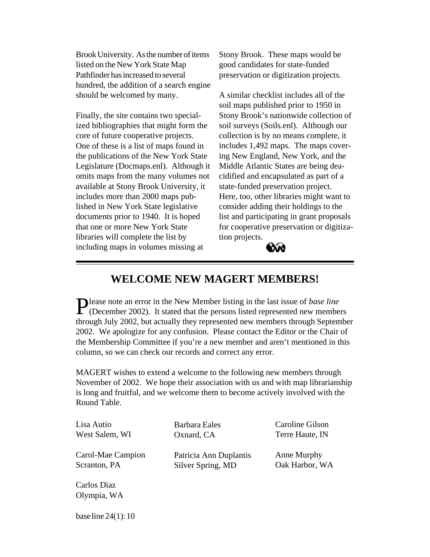<span id="page-9-0"></span>Brook University. As the number of items listed on the New York State Map Pathfinder has increased to several hundred, the addition of a search engine should be welcomed by many.

Finally, the site contains two specialized bibliographies that might form the core of future cooperative projects. One of these is a list of maps found in the publications of the New York State Legislature (Docmaps.enl). Although it omits maps from the many volumes not available at Stony Brook University, it includes more than 2000 maps published in New York State legislative documents prior to 1940. It is hoped that one or more New York State libraries will complete the list by including maps in volumes missing at

Stony Brook. These maps would be good candidates for state-funded preservation or digitization projects.

A similar checklist includes all of the soil maps published prior to 1950 in Stony Brook's nationwide collection of soil surveys (Soils.enl). Although our collection is by no means complete, it includes 1,492 maps. The maps covering New England, New York, and the Middle Atlantic States are being deacidified and encapsulated as part of a state-funded preservation project. Here, too, other libraries might want to consider adding their holdings to the list and participating in grant proposals for cooperative preservation or digitization projects.



# **WELCOME NEW MAGERT MEMBERS!**

Please note an error in the New Member listing in the last issue of *base line*   $\Gamma$  (December 2002). It stated that the persons listed represented new members through July 2002, but actually they represented new members through September 2002. We apologize for any confusion. Please contact the Editor or the Chair of the Membership Committee if you're a new member and aren't mentioned in this column, so we can check our records and correct any error.

MAGERT wishes to extend a welcome to the following new members through November of 2002. We hope their association with us and with map librarianship is long and fruitful, and we welcome them to become actively involved with the Round Table.

| Lisa Autio        | Barbara Eales          | Caroline Gilson |
|-------------------|------------------------|-----------------|
| West Salem, WI    | Oxnard, CA             | Terre Haute, IN |
| Carol-Mae Campion | Patricia Ann Duplantis | Anne Murphy     |
| Scranton, PA      | Silver Spring, MD      | Oak Harbor, WA  |
| Carlos Diaz       |                        |                 |

base line 24(1): 10

Olympia, WA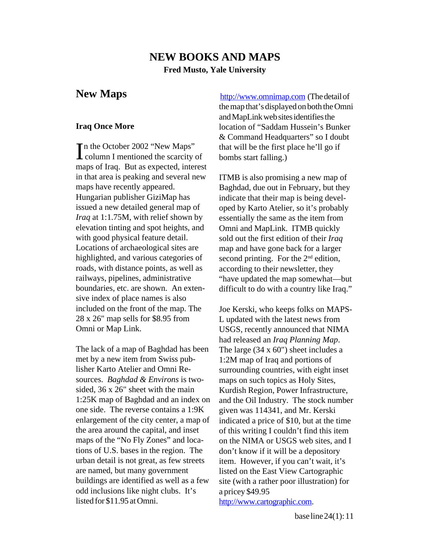# **NEW BOOKS AND MAPS Fred Musto, Yale University**

Tn the October 2002 "New Maps"  $\blacktriangle$  column I mentioned the scarcity of bombs start falling.) maps of Iraq. But as expected, interest in that area is peaking and several new ITMB is also promising a new map of Hungarian publisher GiziMap has indicate that their map is being develissued a new detailed general map of oped by Karto Atelier, so it's probably *Iraq* at 1:1.75M, with relief shown by essentially the same as the item from elevation tinting and spot heights, and Omni and MapLink. ITMB quickly with good physical feature detail. sold out the first edition of their *Iraq* Locations of archaeological sites are map and have gone back for a larger highlighted, and various categories of second printing. For the  $2<sup>nd</sup>$  edition, roads, with distance points, as well as according to their newsletter, they sive index of place names is also included on the front of the map. The Joe Kerski, who keeps folks on MAPS-28 x 26" map sells for \$8.95 from L updated with the latest news from

The lack of a map of Baghdad has been The large  $(34 \times 60)$ " sheet includes a met by a new item from Swiss pub-<br>
1:2M map of Iraq and portions of<br>
lisher Karto Atelier and Omni Re-<br>
surrounding countries, with eight lisher Karto Atelier and Omni Resurrounding countries, with eight inset<br>sources. Baghdad & Environs is two-<br>mans on such topics as Holy Sites. sided, 36 x 26" sheet with the main Kurdish Region, Power Infrastructure, one side. The reverse contains a 1:9K given was 114341, and Mr. Kerski enlargement of the city center, a map of indicated a price of \$10, but at the time the area around the capital, and inset of this writing I couldn't find this item maps of the "No Fly Zones" and loca- on the NIMA or USGS web sites, and I tions of U.S. bases in the region. The don't know if it will be a depository urban detail is not great, as few streets item. However, if you can't wait, it's are named, but many government listed on the East View Cartographic buildings are identified as well as a few site (with a rather poor illustration) for odd inclusions like night clubs. It's a pricey \$49.95 listed for \$11.95 at Omni. <http://www.cartographic.com.>

<span id="page-10-0"></span>**New Maps <http://www.omnimap.com>** (The detail of the map that's displayed on both the Omni and MapLink web sites identifies the **Iraq Once More location of "Saddam Hussein's Bunker** & Command Headquarters" so I doubt that will be the first place he'll go if

maps have recently appeared. Baghdad, due out in February, but they essentially the same as the item from railways, pipelines, administrative "have updated the map somewhat—but boundaries, etc. are shown. An exten-<br>difficult to do with a country like Iraq."

Omni or Map Link. USGS, recently announced that NIMA had released an *Iraq Planning Map*. maps on such topics as Holy Sites, 1:25K map of Baghdad and an index on and the Oil Industry. The stock number

base line 24(1): 11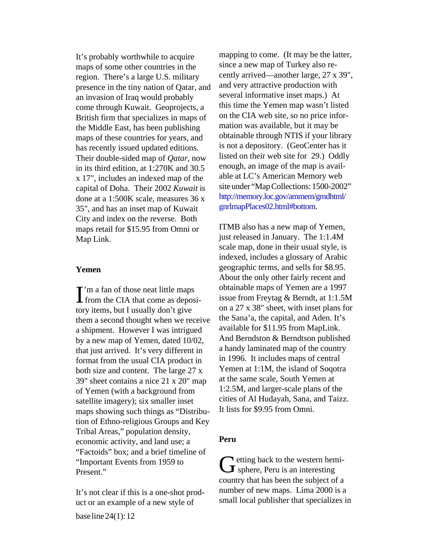maps of some other countries in the since a new map of Turkey also represence in the tiny nation of Qatar, and and very attractive production with<br>an invasion of Iraq would probably several informative inset maps.) At an invasion of Iraq would probably<br>
come through Kuwait Geoprojects a this time the Yemen map wasn't listed come through Kuwait. Geoprojects, a this time the Yemen map wasn't listed<br>British firm that specializes in maps of on the CIA web site, so no price infor-British firm that specializes in maps of on the CIA web site, so no price information the Middle East has been publishing mation was available, but it may be the Middle East, has been publishing has recently issued updated editions. is not a depository. (GeoCenter has it Their double-sided man of *Ogtar*, now listed on their web site for 29.) Oddly Their double-sided map of *Qatar*, now in its third edition, at  $1:270\overline{K}$  and 30.5 enough, an image of the map is avail-<br>x 17" includes an indexed map of the able at LC's American Memory web capital of Doha. Their 2002 *Kuwait* is done at a 1:500K scale, measures  $36 x$  http://memory.loc.gov/ammem/gmdhtml/<br>35" and has an inset man of Kuwait gnrlmapPlaces02.html#bottom. 35", and has an inset map of Kuwait City and index on the reverse. Both maps retail for \$15.95 from Omni or ITMB also has a new map of Yemen, Map Link.  $j$ ust released in January. The 1:1.4M

tory items, but I usually don't give on a 27 x 38" sheet, with inset plans for<br>them a second thought when we receive the Sana'a, the capital, and Aden. It's them a second thought when we receive the Sana'a, the capital, and Aden. It<br>a shipment. However I was intrigued available for \$11.95 from MapLink. a shipment. However I was intrigued available for \$11.95 from MapLink.<br>by a new man of Yemen, dated 10/02 And Berndston & Berndtson published by a new map of Yemen, dated  $10/02$ , And Berndston & Berndtson published<br>that just arrived It's very different in a handy laminated map of the country that just arrived. It's very different in a handy laminated map of the countr<br>format from the usual CIA product in in 1996. It includes maps of central format from the usual CIA product in in 1996. It includes maps of central<br>both size and content. The large  $27 \times$  Yemen at 1:1M, the island of Soqotra both size and content. The large  $27 \times$ 39" sheet contains a nice 21 x 20" map of Yemen (with a background from satellite imagery); six smaller inset maps showing such things as "Distribution of Ethno-religious Groups and Key Tribal Areas," population density, economic activity, and land use; a **Peru**  "Factoids" box; and a brief timeline of "Important Events from 1959 to "Important Events from 1959 to Getting back to the western hemi-<br>Present." Containing Section 1959 to Getting back to the western hemi-

uct or an example of a new style of small local publisher that specializes in base line 24(1): 12

It's probably worthwhile to acquire mapping to come. (It may be the latter, region. There's a large U.S. military cently arrived—another large,  $27 \times 39$ ", presence in the tiny nation of Oatar and and very attractive production with maps of these countries for years, and obtainable through NTIS if your library<br>has recently issued undated editions is not a depository. (GeoCenter has it x 17", includes an indexed map of the able at LC's American Memory web<br>capital of Doba. Their 2002 Kuwait is site under "Map Collections: 1500-2002"

scale map, done in their usual style, is indexed, includes a glossary of Arabic **Yemen geographic terms**, and sells for \$8.95. About the only other fairly recent and  $\int_{0}^{\infty}$  from the CIA that come as deposi-<br>from the CIA that come as deposi-<br>issue from Freytag & Berndt, at 1:1.5M  $\sum$ 'm a fan of those neat little maps obtainable maps of Yemen are a 1997<br>from the CIA that come as denosi-<br>issue from Freytag & Berndt, at 1:1.5M at the same scale, South Yemen at 1:2.5M, and larger-scale plans of the cities of Al Hudayah, Sana, and Taizz. It lists for \$9.95 from Omni.

country that has been the subject of a It's not clear if this is a one-shot prod-<br>number of new maps. Lima 2000 is a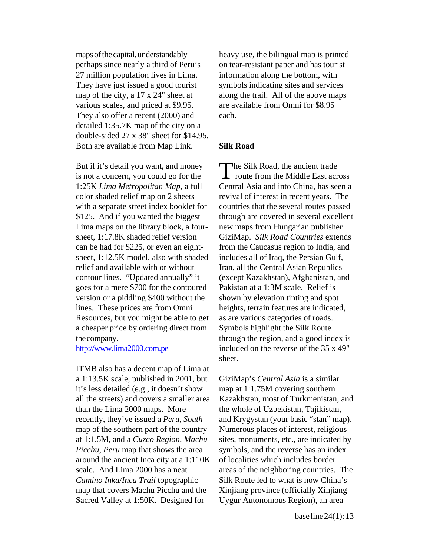maps of the capital, understandably heavy use, the bilingual map is printed 27 million population lives in Lima. information along the bottom, with various scales, and priced at \$9.95. are available from Omni for \$8.95 They also offer a recent  $(2000)$  and each. detailed 1:35.7K map of the city on a double-sided  $27 \times 38$ " sheet for \$14.95. Both are available from Map Link. **Silk Road** perhaps since nearly a third of Peru's They have just issued a good tourist map of the city, a 17 x 24" sheet at

But if it's detail you want, and money Lima maps on the library block, a four- new maps from Hungarian publisher sheet,  $1:12.5K$  model, also with shaded includes all of Iraq, the Persian Gulf, goes for a mere \$700 for the contoured Pakistan at a 1:3M scale. Relief is version or a piddling \$400 without the shown by elevation tinting and spot Resources, but you might be able to get as are various categories of roads. a cheaper price by ordering direct from Symbols highlight the Silk Route is not a concern, you could go for the 1:25K Lima Metropolitan Map, a full color shaded relief map on 2 sheets with a separate street index booklet for \$125. And if you wanted the biggest sheet, 1:17.8K shaded relief version can be had for \$225, or even an eightrelief and available with or without contour lines. "Updated annually" it lines. These prices are from Omni the company.

<http://www.lima2000.com.pe>

ITMB also has a decent map of Lima at a 1:13.5K scale, published in 2001, but it's less detailed (e.g., it doesn't show all the streets) and covers a smaller area than the Lima 2000 maps. More recently, they've issued a *Peru, South*  map of the southern part of the country at 1:1.5M, and a *Cuzco Region, Machu* sites, monuments, etc., are indicated by *Picchu, Peru* map that shows the area symbols, and the reverse has an index around the ancient Inca city at a 1:110K of localities which includes border scale. And Lima 2000 has a neat areas of the neighboring countries. The *Camino Inka/Inca Trail* topographic Silk Route led to what is now China's map that covers Machu Picchu and the Xinjiang province (officially Xinjiang Sacred Valley at 1:50K. Designed for Uygur Autonomous Region), an area

on tear-resistant paper and has tourist symbols indicating sites and services along the trail. All of the above maps

ut if it's detail you want, and money<br>
not a concern, you could go for the<br>  $\sum$  route from the Middle East across Central Asia and into China, has seen a revival of interest in recent years. The countries that the several routes passed through are covered in several excellent GiziMap. Silk Road Countries extends from the Caucasus region to India, and Iran, all the Central Asian Republics (except Kazakhstan), Afghanistan, and heights, terrain features are indicated, through the region, and a good index is included on the reverse of the 35 x 49" sheet.

> GiziMap's *Central Asia* is a similar map at 1:1.75M covering southern Kazakhstan, most of Turkmenistan, and the whole of Uzbekistan, Tajikistan, and Krygystan (your basic "stan" map). Numerous places of interest, religious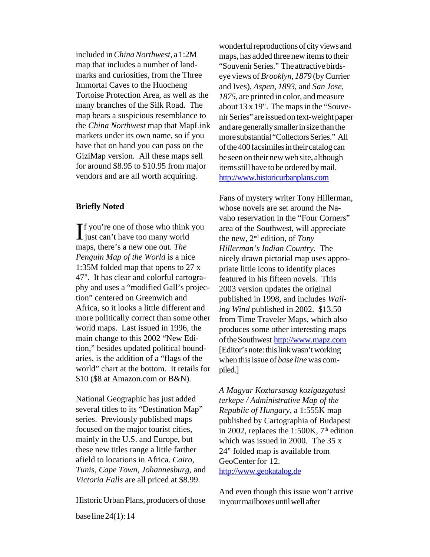included in *China Northwest*, a 1:2M maps, has added three new items to their<br>map that includes a number of land-<br>"Souvenir Series" The attractive birdsmap that includes a number of land-<br>marks and curiosities, from the Three<br> $\frac{1}{2}$  eve views of *Brooklyn* 1879 (by Curries) Tortoise Protection Area, as well as the *1875*, are printed in color, and measure many branches of the Silk Road. The about 13 x 19". The mans in the "Souve the *China Northwest* map that MapLink and are generally smaller in size than the markets under its own name, so if you more substantial "Collectors Series." All have that on hand you can pass on the of the 400 facsimiles in their catalog can<br>GiziMap version. All these maps sell be seen on their new web site although for around \$8.95 to \$10.95 from major items still have to be ordered by mail. vendors and are all worth acquiring. http://www.historicurbanplans.com

tion," besides updated political boundaries, is the addition of a "flags of the world" chart at the bottom. It retails for \$10 (\$8 at Amazon.com or B&N). just can't have too many world the new, 2<sup>nd</sup> edition, of *Tony* maps, there's a new one out. *The Hillerman's Indian Country*. The *Penguin Map of the World* is a nice *nicely drawn pictorial man uses are Penguin Map of the World* is a nice nicely drawn pictorial map uses appro-<br>1:35M folded map that opens to 27 x niceles it the icons to identify places 1:35M folded map that opens to  $27 \times$  priate little icons to identify places 47". It has clear and colorful cartogra-<br>featured in his fifteen novels. This phy and uses a "modified Gall's projec-<br>tion" centered on Greenwich and<br>published in 1998, and includes W Africa, so it looks a little different and *ing Wind* published in 2002. \$13.50<br>more politically correct than some other from Time Traveler Mans, which also more politically correct than some other from Time Traveler Maps, which also<br>world maps. Last issued in 1996, the produces some other interesting maps world maps. Last issued in 1996, the produces some other interesting maps<br>main change to this 2002 "New Edi-<br>of the Southwest http://www.mapz.com

National Geographic has just added several titles to its "Destination Map" series. Previously published maps focused on the major tourist cities, mainly in the U.S. and Europe, but these new titles range a little farther afield to locations in Africa. *Cairo, Tunis, Cape Town, Johannesburg,* and *Victoria Falls* are all priced at \$8.99.

Historic Urban Plans, producers of those

wonderful reproductions of city views and marks and curiosities, from the Three eye views of *Brooklyn*, 1879 (by Currier<br>Immortal Caves to the Huocheng and Ives) Aspen 1893 and San *Iose* and Ives), *Aspen, 1893*, and *San Jose*, many branches of the Silk Road. The about  $13 \times 19$ ". The maps in the "Souve-<br>map bears a suspicious resemblance to in Series" are issued on text-weight paper map bears a suspicious resemblance to nir Series" are issued on text-weight paper<br>the *China Northwest* map that MapLink and are generally smaller in size than the more substantial "Collectors Series." All be seen on their new web site, although

Fans of mystery writer Tony Hillerman, **Briefly Noted whose novels are set around the Na-** $\int \int$  f you're one of those who think you area of the Southwest, will appreciate<br>just can't have too many world the new,  $2^{nd}$  edition, of Tony vaho reservation in the "Four Corners" featured in his fifteen novels. This published in 1998, and includes *Wail*of the Southwest <http://www.mapz.com> [Editor's note: this link wasn't working when this issue of *base line* was compiled.]

> *A Magyar Koztarsasag kozigazgatasi terkepe / Administrative Map of the Republic of Hungary,* a 1:555K map published by Cartographia of Budapest in 2002, replaces the 1:500K,  $7<sup>th</sup>$  edition which was issued in 2000. The 35 x 24" folded map is available from GeoCenter for 12. <http://www.geokatalog.de>

> And even though this issue won't arrive in your mailboxes until well after

base line 24(1): 14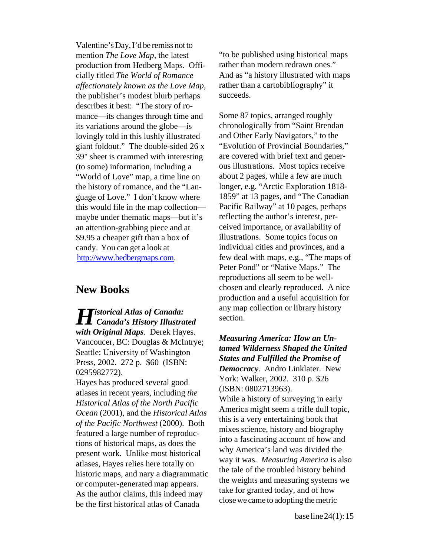Valentine's Day, I'd be remiss not to production from Hedberg Maps. Offi*affectionately known as the Love Map*, rather than a cartobibliography" it the publisher's modest blurb perhaps succeeds. describes it best: "The story of romance—its changes through time and Some 87 topics, arranged roughly its variations around the globe—is chronologically from "Saint Brendan<br>lovingly told in this lushly illustrated and Other Early Navigators," to the lovingly told in this lushly illustrated giant foldout." The double-sided 26 x "Evolution of Provincial Boundaries," 39" sheet is crammed with interesting are covered with brief text and gener (to some) information, including a ous illustrations. Most topics receive "World of Love" map, a time line on about 2 pages, while a few are much the history of romance, and the "Lan-longer, e.g. "Arctic Exploration 1818this would file in the map collection— Pacific Railway" at 10 pages, perhaps maybe under thematic maps—but it's reflecting the author's interest, peran attention-grabbing piece and at ceived importance, or availability of <br>\$9.95 a cheaper gift than a box of illustrations. Some topics focus on  $$9.95$  a cheaper gift than a box of candy. You can get a look at individual cities and provinces, and a

*Historical Atlas of Canada:* any map collection or library history<br> *canada's History Illustrated* section.<br> *with Original Maps*. Derek Hayes.

Atlases in recent years, including the<br> *Historical Atlas of the North Pacific*<br> *Ocean* (2001), and the *Historical Atlas* **America might seem a trifle dull topic,**<br>  $\frac{644 \times 8 \times 64 \times 6}{2566}$  Menthus at (2000). Bethands of the Pacific Northwest (2000). Both<br>featured a large number of reproductions of historical maps, as does the<br>present work. Unlike most historical<br>atlases, Hayes relies here totally on<br>historic maps, and nary a diagrammat

mention *The Love Map*, the latest "to be published using historical maps<br>production from Hedberg Maps. Offi- rather than modern redrawn ones." cially titled *The World of Romance* And as "a history illustrated with maps

guage of Love." I don't know where 1859" at 13 pages, and "The Canadian [http://www.hedbergmaps.com.](http://www.hedbergmaps.com) few deal with maps, e.g., "The maps of Peter Pond" or "Native Maps." The reproductions all seem to be well-**New Books chosen and clearly reproduced.** A nice production and a useful acquisition for

with Original Maps. Derek Hayes.<br>
Vancoucer, BC: Douglas & McIntrye;<br>
Seattle: University of Washington<br>
Press, 2002. 272 p. \$60 (ISBN:<br>
0295982772).<br>
Hayes has produced several good<br>
atlases in recent years, including *th*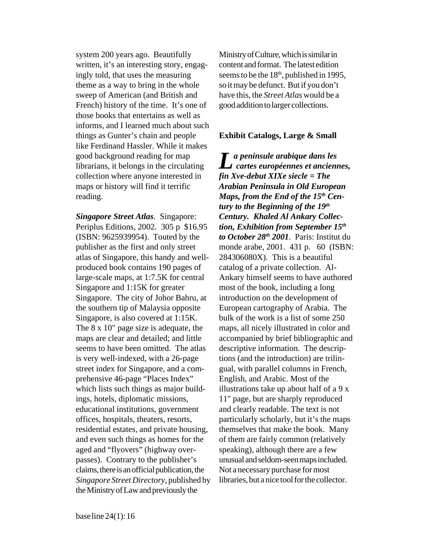system 200 years ago. Beautifully Ministry of Culture, which is similar in written, it's an interesting story, engag-<br>content and format. The latest edition ingly told, that uses the measuring seems to be the  $18<sup>th</sup>$ , published in 1995, theme as a way to bring in the whole so it may be defunct. But if you don't sweep of American (and British and have this, the *Street Atlas* would be a French) history of the time. It's one of good addition to larger collections. those books that entertains as well as informs, and I learned much about such things as Gunter's chain and people **Exhibit Catalogs, Large & Small**  like Ferdinand Hassler. While it makes good background reading for map collection where anyone interested in maps or history will find it terrific *Arabian Peninsula in Old European*  reading. *Maps, from the End of the 15<sup>th</sup> Cen-*

*Singapore Street Atlas*. Singapore: *Century. Khaled Al Ankary Collec-*Periplus Editions, 2002. 305 p \$16.95 *tion, Exhibition from September 15<sup>th</sup>* (ISBN: 9625939954). Touted by the *to October 28th 2001*. Paris: Institut du atlas of Singapore, this handy and well- 284306080X). This is a beautiful produced book contains 190 pages of catalog of a private collection. Allarge-scale maps, at 1:7.5K for central Ankary himself seems to have authored Singapore and 1:15K for greater most of the book, including a long Singapore. The city of Johor Bahru, at introduction on the development of the southern tip of Malaysia opposite European cartography of Arabia. The Singapore, is also covered at 1:15K. bulk of the work is a list of some 250 The 8 x 10" page size is adequate, the maps, all nicely illustrated in color and maps are clear and detailed; and little seems to have been omitted. The atlas is very well-indexed, with a 26-page street index for Singapore, and a comprehensive 46-page "Places Index" which lists such things as major buildings, hotels, diplomatic missions, educational institutions, government offices, hospitals, theaters, resorts, residential estates, and private housing, and even such things as homes for the aged and "flyovers" (highway overpasses). Contrary to the publisher's claims, there is an official publication, the *Singapore Street Directory*, published by the Ministry of Law and previously the

*fin Xve-debut XIXe siecle = The*  good background reading for map<br>librarians, it belongs in the circulating *La peninsule arabique dans les*<br>*cartes européennes et anciennes, tury to the Beginning of the 19th*  publisher as the first and only street monde arabe, 2001. 431 p. 60 (ISBN: accompanied by brief bibliographic and descriptive information. The descriptions (and the introduction) are trilingual, with parallel columns in French, English, and Arabic. Most of the illustrations take up about half of a 9 x 11" page, but are sharply reproduced and clearly readable. The text is not particularly scholarly, but it's the maps themselves that make the book. Many of them are fairly common (relatively speaking), although there are a few unusual and seldom-seen maps included. Not a necessary purchase for most libraries, but a nice tool for the collector.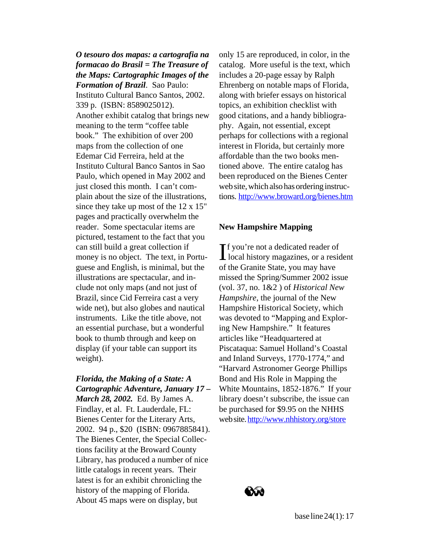*formacao do Brasil = The Treasure of* catalog. More useful is the text, which *the Maps: Cartographic Images of the* includes a 20-page essay by Ralph

Instituto Cultural Banco Santos, 2002. along with briefer essays on historical 339 p. (ISBN: 8589025012). topics, an exhibition checklist with Another exhibit catalog that brings new good citations, and a handy bibliogrameaning to the term "coffee table phy. Again, not essential, except book." The exhibition of over 200 perhaps for collections with a regional maps from the collection of one interest in Florida, but certainly more Edemar Cid Ferreira, held at the affordable than the two books men-Instituto Cultural Banco Santos in Sao tioned above. The entire catalog has Paulo, which opened in May 2002 and been reproduced on the Bienes Center just closed this month. I can't com-<br>web site, which also has ordering instrucplain about the size of the illustrations, tions. http://www.broward.org/bienes.htm since they take up most of the 12 x 15" pages and practically overwhelm the reader. Some spectacular items are **New Hampshire Mapping**  pictured, testament to the fact that you can still build a great collection if money is no object. The text, in Portu-<br>guese and English, is minimal, but the of the Granite State, you may have guese and English, is minimal, but the illustrations are spectacular, and in-<br>missed the Spring/Summer 2002 issue clude not only maps (and not just of (vol. 37, no. 1&2 ) of *Historical New*  Brazil, since Cid Ferreira cast a very *Hampshire*, the journal of the New wide net), but also globes and nautical Hampshire Historical Society, which instruments. Like the title above, not was devoted to "Mapping and Exploran essential purchase, but a wonderful ing New Hampshire." It features book to thumb through and keep on articles like "Headquartered at display (if your table can support its Piscataqua: Samuel Holland's Coastal weight). and Inland Surveys, 1770-1774," and

# *Florida, the Making of a State: A* Bond and His Role in Mapping the *Cartographic Adventure, January 17 –*

*March 28, 2002.* Ed. By James A. Findlay, et al. Ft. Lauderdale, FL: Bienes Center for the Literary Arts, 2002. 94 p., \$20 (ISBN: 0967885841). The Bienes Center, the Special Collections facility at the Broward County Library, has produced a number of nice little catalogs in recent years. Their latest is for an exhibit chronicling the history of the mapping of Florida. About 45 maps were on display, but

*O tesouro dos mapas: a cartografia na* only 15 are reproduced, in color, in the *Formation of Brazil*. Sao Paulo: Ehrenberg on notable maps of Florida,

f you're not a dedicated reader of local history magazines, or a resident "Harvard Astronomer George Phillips White Mountains, 1852-1876." If your library doesn't subscribe, the issue can be purchased for \$9.95 on the NHHS web site.<http://www.nhhistory.org/store>

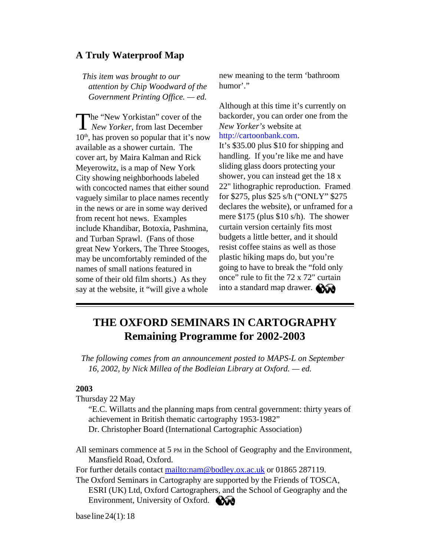# <span id="page-17-0"></span>**A Truly Waterproof Map**

*attention by Chip Woodward of the* humor'." *Government Printing Office. — ed.* 

The "New Yorkistan" cover of the backorder, you can order one from the *New Yorker*, from last December *New Yorker's* website at 10<sup>th</sup>, has proven so popular that it's now http://cartoonbank.com. available as a shower curtain. The It's \$35.00 plus \$10 for shipping and cover art by Maira Kalman and Rick handling. If you're like me and have cover art, by Maira Kalman and Rick handling. If you're like me and have<br>Meverowitz, is a man of New York sliding glass doors protecting your Meyerowitz, is a map of New York sliding glass doors protecting your<br>City showing neighborhoods labeled shower, you can instead get the 18 x City showing neighborhoods labeled shower, you can instead get the 18 x<br>with concocted names that either sound 22" lithographic reproduction. Framed with concocted names that either sound 22" lithographic reproduction. Framed<br>vaguely similar to place names recently for \$275, plus \$25 s/h ("ONLY" \$275 vaguely similar to place names recently for \$275, plus \$25 s/h ("ONLY" \$275<br>in the news or are in some way derived declares the website), or unframed for a in the news or are in some way derived from recent hot news. Examples mere \$175 (plus \$10 s/h). The shower<br>include Khandibar, Botoxia, Pashmina curtain version certainly fits most include Khandibar, Botoxia, Pashmina, curtain version certainly fits most<br>and Turban Sprawl (Fans of those budgets a little better, and it should and Turban Sprawl. (Fans of those budgets a little better, and it should<br>great New Yorkers. The Three Stooges resist coffee stains as well as those great New Yorkers, The Three Stooges, resist coffee stains as well as those<br>may be uncomfortably reminded of the plastic hiking maps do, but you're may be uncomfortably reminded of the names of small nations featured in going to have to break the "fold only some of their old film shorts.) As they say at the website, it "will give a whole

*This item was brought to our* **new meaning to the term 'bathroom'** 

Although at this time it's currently on

once" rule to fit the 72 x 72" curtain into a standard map drawer.

# **THE OXFORD SEMINARS IN CARTOGRAPHY Remaining Programme for 2002-2003**

*The following comes from an announcement posted to MAPS-L on September 16, 2002, by Nick Millea of the Bodleian Library at Oxford. — ed.* 

## **2003**

Thursday 22 May

"E.C. Willatts and the planning maps from central government: thirty years of achievement in British thematic cart ography 1953-1982" Dr. Christopher Board (International Cartographic Association)

All seminars commence at 5 PM in the S chool of Geography and the Environment, Mansfield Road, Oxford.

For further details contact mailto:nam@[bodley.ox.ac.uk](mailto:nam@bodley.ox.ac.uk) or 01865 287119.

The Oxford Seminars in Cartography ar e supported by the Friends of TOSCA, ESRI (UK) Ltd, Oxford Cartographers, and the School of Geography and the Environment, University of Oxford. **Com**